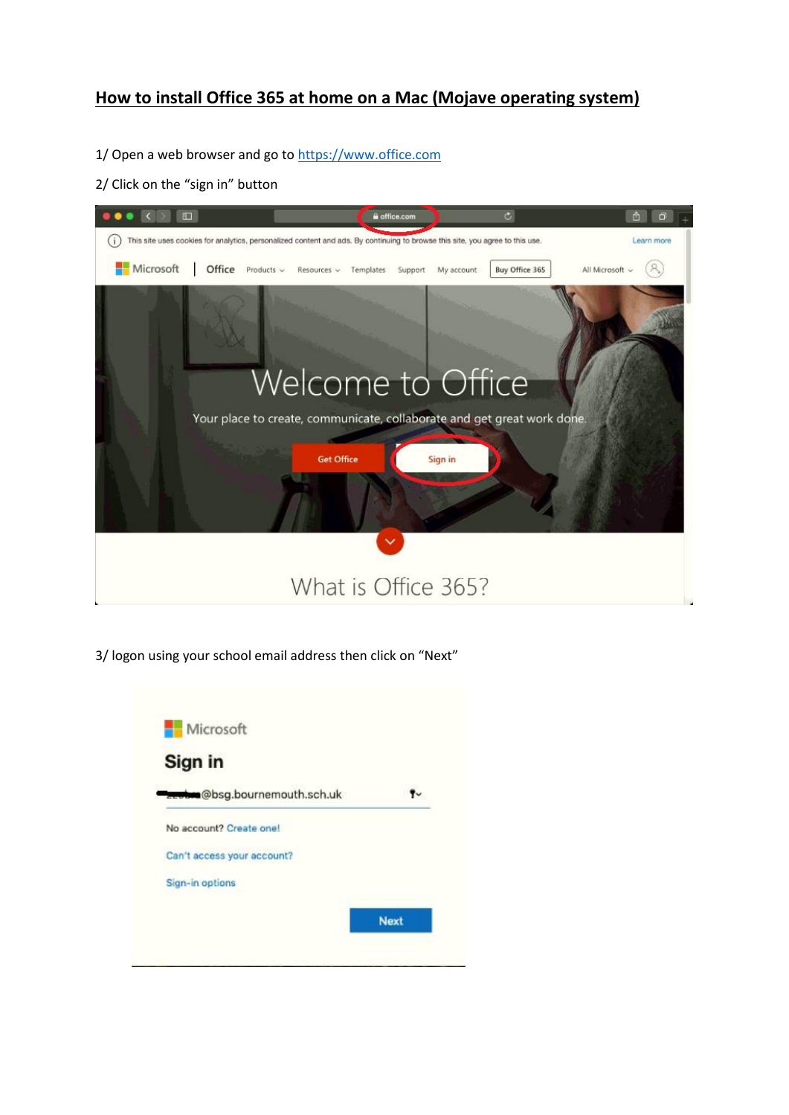# **How to install Office 365 at home on a Mac (Mojave operating system)**

1/ Open a web browser and go t[o https://www.office.com](https://www.office.com/)

2/ Click on the "sign in" button



3/ logon using your school email address then click on "Next"

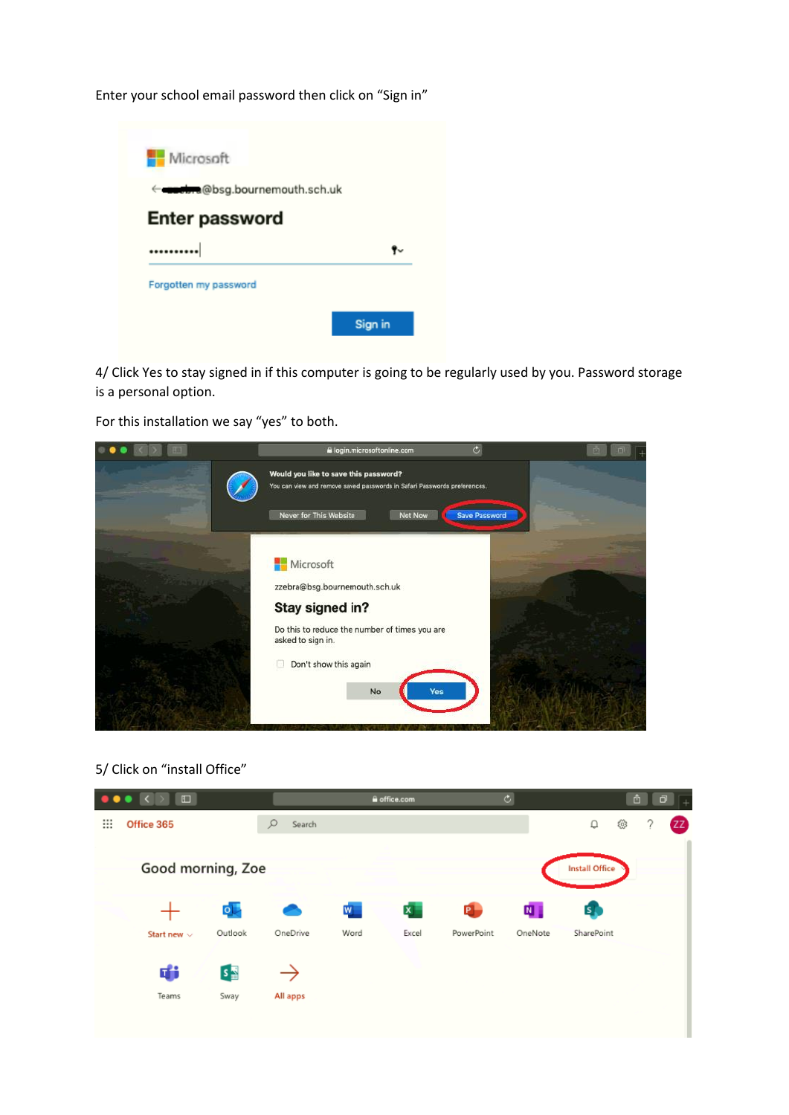Enter your school email password then click on "Sign in"



4/ Click Yes to stay signed in if this computer is going to be regularly used by you. Password storage is a personal option.

For this installation we say "yes" to both.



#### 5/ Click on "install Office"

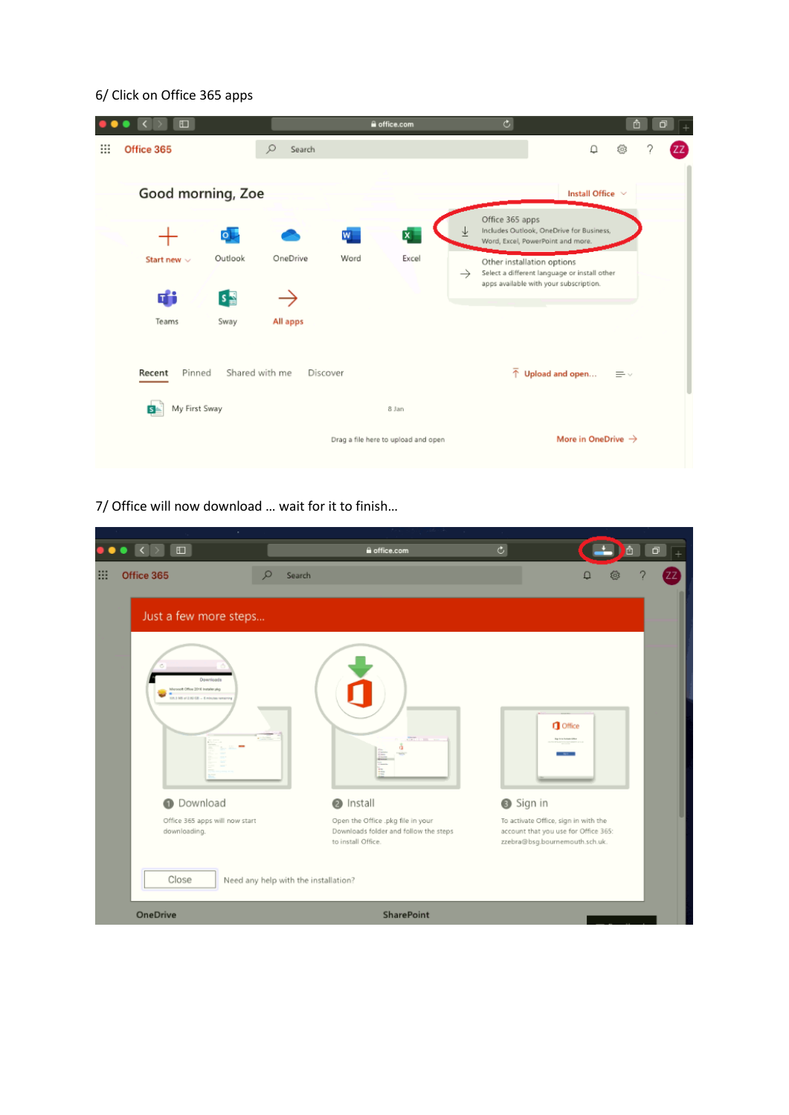## 6/ Click on Office 365 apps

|   | $\Box$               |         |                |                 | a office.com                        |               | $\overline{c}$                                       |                                                                                        | û               | Ò |    |
|---|----------------------|---------|----------------|-----------------|-------------------------------------|---------------|------------------------------------------------------|----------------------------------------------------------------------------------------|-----------------|---|----|
| ₩ | Office 365           |         | Ω<br>Search    |                 |                                     |               |                                                      | Q                                                                                      | 翁               |   | ΖZ |
|   |                      |         |                |                 |                                     |               |                                                      |                                                                                        |                 |   |    |
|   | Good morning, Zoe    |         |                |                 |                                     |               |                                                      | Install Office $\vee$                                                                  |                 |   |    |
|   |                      | 야       |                | $W_{\parallel}$ | $\mathbf{x}$                        |               | Office 365 apps<br>Word, Excel, PowerPoint and more. | Includes Outlook, OneDrive for Business,                                               |                 |   |    |
|   | Start new $\sim$     | Outlook | OneDrive       | Word            | Excel                               | $\rightarrow$ | Other installation options                           | Select a different language or install other<br>apps available with your subscription. |                 |   |    |
|   | di                   | $s =$   |                |                 |                                     |               |                                                      |                                                                                        |                 |   |    |
|   | Teams                | Sway    | All apps       |                 |                                     |               |                                                      |                                                                                        |                 |   |    |
|   |                      |         |                |                 |                                     |               |                                                      |                                                                                        |                 |   |    |
|   | Pinned<br>Recent     |         | Shared with me | Discover        |                                     |               |                                                      | $\overline{\uparrow}$ Upload and open                                                  | $\equiv$ $\vee$ |   |    |
|   | My First Sway<br>is. |         |                |                 | 8 Jan                               |               |                                                      |                                                                                        |                 |   |    |
|   |                      |         |                |                 | Drag a file here to upload and open |               |                                                      | More in OneDrive $\rightarrow$                                                         |                 |   |    |
|   |                      |         |                |                 |                                     |               |                                                      |                                                                                        |                 |   |    |

7/ Office will now download … wait for it to finish…

| $\Box$                                                                                | a office.com                                                                                     | $\overline{c}$ | ô<br>$\Box$                                                                                                    |
|---------------------------------------------------------------------------------------|--------------------------------------------------------------------------------------------------|----------------|----------------------------------------------------------------------------------------------------------------|
| Office 365                                                                            | $\Omega$<br>Search                                                                               |                | Ω                                                                                                              |
| Just a few more steps                                                                 |                                                                                                  |                |                                                                                                                |
| Downloads<br>Morreot Office 2016 Installer.plg.<br>124.3 MR of 2.80 CB  Eminutes rams | <b>TELEVISION</b>                                                                                |                | <b>O</b> Office<br><b>Back to Actuals Kirks</b>                                                                |
| <b>O</b> Download                                                                     | <b>O</b> Install                                                                                 | Sign in        |                                                                                                                |
| Office 365 apps will now start<br>downloading.                                        | Open the Office .pkg file in your<br>Downloads folder and follow the steps<br>to install Office. |                | To activate Office, sign in with the<br>account that you use for Office 365:<br>zzebra@bsg.bournemouth.sch.uk. |
| Close                                                                                 | Need any help with the installation?                                                             |                |                                                                                                                |
| <b>OneDrive</b>                                                                       | SharePoint                                                                                       |                |                                                                                                                |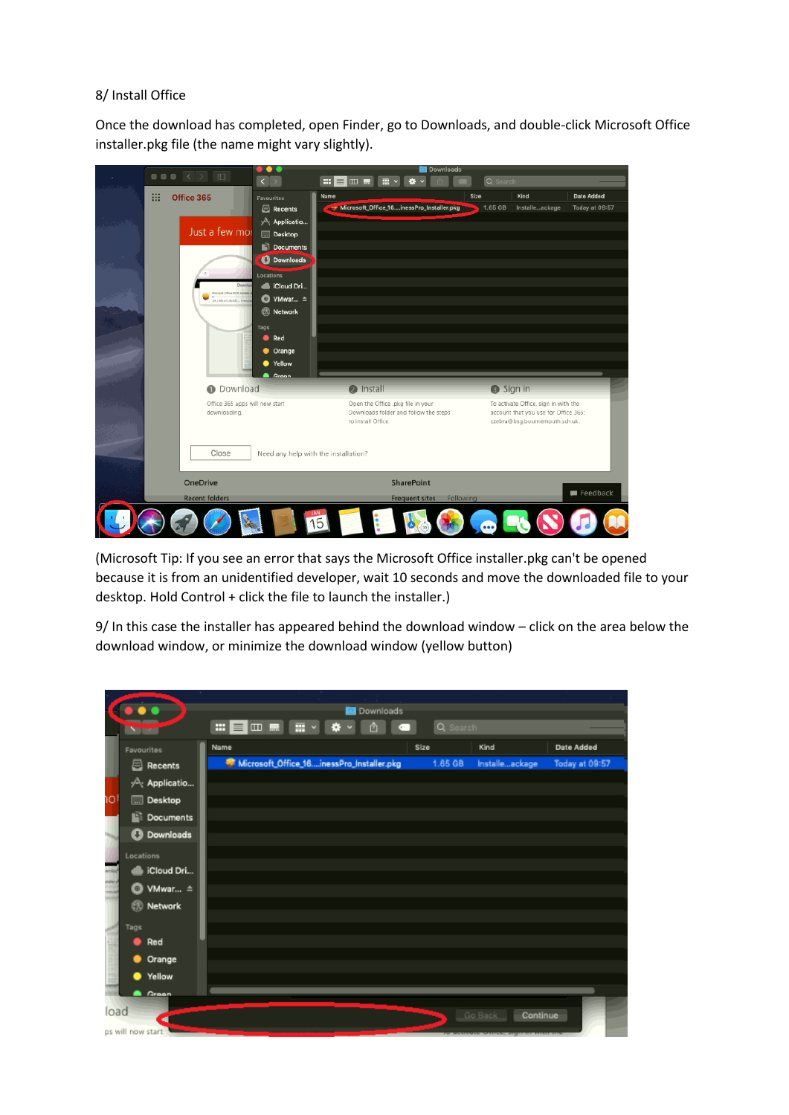### 8/ Install Office

Once the download has completed, open Finder, go to Downloads, and double-click Microsoft Office installer.pkg file (the name might vary slightly).

| $\bullet \bullet \bullet \quad \leftarrow \quad \rightarrow \quad \text{m}$ | $\bullet\bullet\bullet$<br>Downloads<br>$\langle   \rangle$<br>  E   comen<br>Q Search<br>■■<br>舂 |                                                             |         |                                                                        |                |  |
|-----------------------------------------------------------------------------|---------------------------------------------------------------------------------------------------|-------------------------------------------------------------|---------|------------------------------------------------------------------------|----------------|--|
|                                                                             |                                                                                                   |                                                             |         |                                                                        |                |  |
| <br>Office 365                                                              | Favourites                                                                                        | Name                                                        | Size    | Kind                                                                   | Date Added     |  |
|                                                                             | Recents                                                                                           | Microsoft_Office_16inessPro_Installer.pkg                   | 1.65 GB | Installeackage                                                         | Today at 09:57 |  |
|                                                                             | $\sqrt{\Delta}$ Applicatio                                                                        |                                                             |         |                                                                        |                |  |
| Just a few mor                                                              | <b>Desktop</b>                                                                                    |                                                             |         |                                                                        |                |  |
|                                                                             | Documents                                                                                         |                                                             |         |                                                                        |                |  |
|                                                                             | <b>O</b> Downloads                                                                                |                                                             |         |                                                                        |                |  |
|                                                                             | Locations                                                                                         |                                                             |         |                                                                        |                |  |
|                                                                             | <b>Cloud Dri</b>                                                                                  |                                                             |         |                                                                        |                |  |
| Morroot Office 2016 Install<br>15.1 MS of 2.80 CB  Even                     | ● VMwar ≜                                                                                         |                                                             |         |                                                                        |                |  |
|                                                                             | <b>O</b> Network                                                                                  |                                                             |         |                                                                        |                |  |
|                                                                             | Tags                                                                                              |                                                             |         |                                                                        |                |  |
|                                                                             | $\bullet$ Red                                                                                     |                                                             |         |                                                                        |                |  |
|                                                                             | • Orange                                                                                          |                                                             |         |                                                                        |                |  |
|                                                                             | ● Yellow                                                                                          |                                                             |         |                                                                        |                |  |
|                                                                             | <b>A</b> Green                                                                                    |                                                             |         |                                                                        |                |  |
| <b>O</b> Download                                                           |                                                                                                   | <b>a</b> Install                                            |         | Sign in                                                                |                |  |
| Office 365 apps will now start                                              |                                                                                                   | Open the Office .pkg file in your                           |         | To activate Office, sign in with the                                   |                |  |
| downloading.                                                                |                                                                                                   | Downloads folder and follow the steps<br>to install Office. |         | account that you use for Office 365:<br>zzebra@bsg.bournemouth.sch.uk. |                |  |
|                                                                             |                                                                                                   |                                                             |         |                                                                        |                |  |
|                                                                             |                                                                                                   |                                                             |         |                                                                        |                |  |
| Close                                                                       | Need any help with the installation?                                                              |                                                             |         |                                                                        |                |  |
|                                                                             |                                                                                                   |                                                             |         |                                                                        |                |  |
| <b>OneDrive</b>                                                             |                                                                                                   | SharePoint                                                  |         |                                                                        |                |  |
| <b>Recent folders</b>                                                       |                                                                                                   | <b>Frequent sites</b><br>Following                          |         |                                                                        | Feedback       |  |
|                                                                             |                                                                                                   |                                                             |         |                                                                        |                |  |
|                                                                             |                                                                                                   | 15                                                          |         |                                                                        |                |  |
|                                                                             |                                                                                                   |                                                             |         |                                                                        |                |  |

(Microsoft Tip: If you see an error that says the Microsoft Office installer.pkg can't be opened because it is from an unidentified developer, wait 10 seconds and move the downloaded file to your desktop. Hold Control + click the file to launch the installer.)

9/ In this case the installer has appeared behind the download window – click on the area below the download window, or minimize the download window (yellow button)

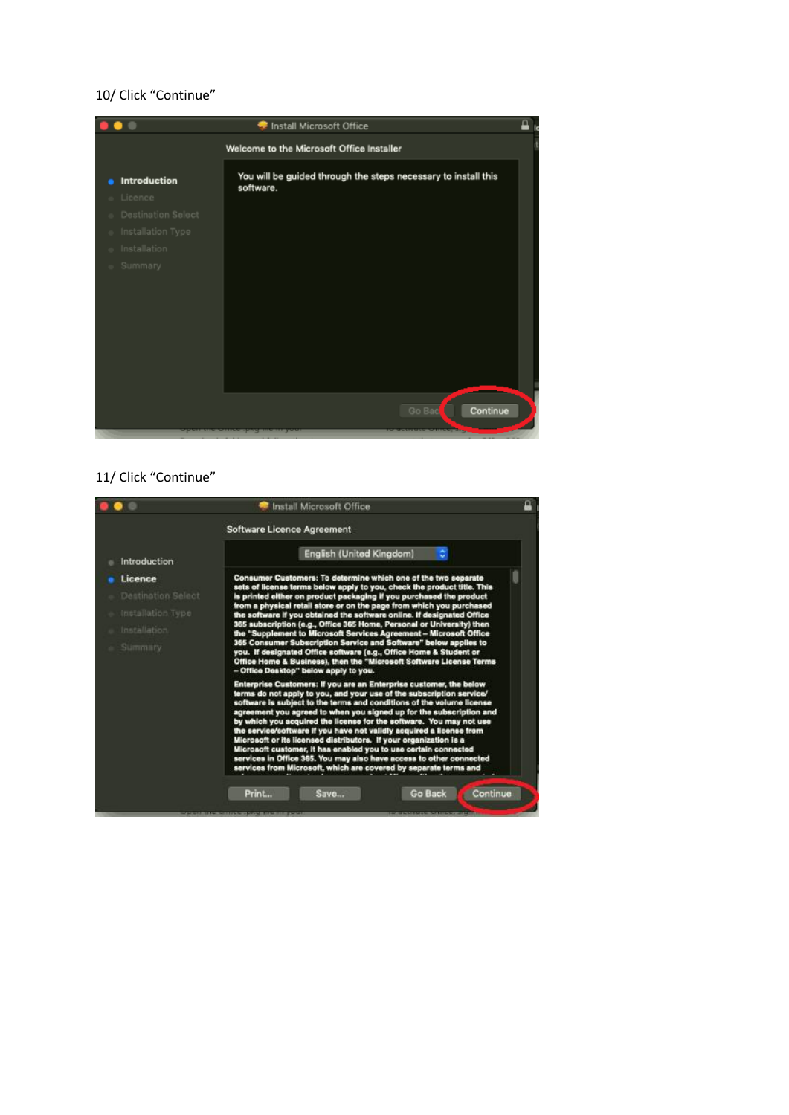## 10/ Click "Continue"



## 11/ Click "Continue"

|                                                                               | д<br>Install Microsoft Office                                                                                                                                                                                                                                                                                                                                                                                                                                                                                                                                                                                                                                                                                                                                               |  |  |  |  |  |  |
|-------------------------------------------------------------------------------|-----------------------------------------------------------------------------------------------------------------------------------------------------------------------------------------------------------------------------------------------------------------------------------------------------------------------------------------------------------------------------------------------------------------------------------------------------------------------------------------------------------------------------------------------------------------------------------------------------------------------------------------------------------------------------------------------------------------------------------------------------------------------------|--|--|--|--|--|--|
|                                                                               | Software Licence Agreement                                                                                                                                                                                                                                                                                                                                                                                                                                                                                                                                                                                                                                                                                                                                                  |  |  |  |  |  |  |
| Introduction                                                                  | ٠<br>English (United Kingdom)                                                                                                                                                                                                                                                                                                                                                                                                                                                                                                                                                                                                                                                                                                                                               |  |  |  |  |  |  |
| Licence<br>Destination Select<br>Installation Type<br>Installation<br>Summary | Consumer Customers: To determine which one of the two separate<br>sets of license terms below apply to you, check the product title. This<br>is printed either on product packaging if you purchased the product<br>from a physical retail store or on the page from which you purchased<br>the software if you obtained the software online. If designated Office<br>365 subscription (e.g., Office 365 Home, Personal or University) then<br>the "Supplement to Microsoft Services Agreement - Microsoft Office<br>365 Consumer Subscription Service and Software" below applies to<br>you. If designated Office software (e.g., Office Home & Student or<br>Office Home & Business), then the "Microsoft Software License Terms<br>- Office Desktop" below apply to you. |  |  |  |  |  |  |
|                                                                               | Enterprise Customers: If you are an Enterprise customer, the below<br>terms do not apply to you, and your use of the subscription service/<br>software is subject to the terms and conditions of the volume license<br>agreement you agreed to when you signed up for the subscription and<br>by which you acquired the license for the software. You may not use<br>the service/software if you have not validly acquired a license from<br>Microsoft or its licensed distributors. If your organization is a<br>Microsoft customer, it has enabled you to use certain connected<br>services in Office 365. You may also have access to other connected<br>services from Microsoft, which are covered by separate terms and                                                |  |  |  |  |  |  |
|                                                                               | Print<br>Go Back<br>Continue<br>Save                                                                                                                                                                                                                                                                                                                                                                                                                                                                                                                                                                                                                                                                                                                                        |  |  |  |  |  |  |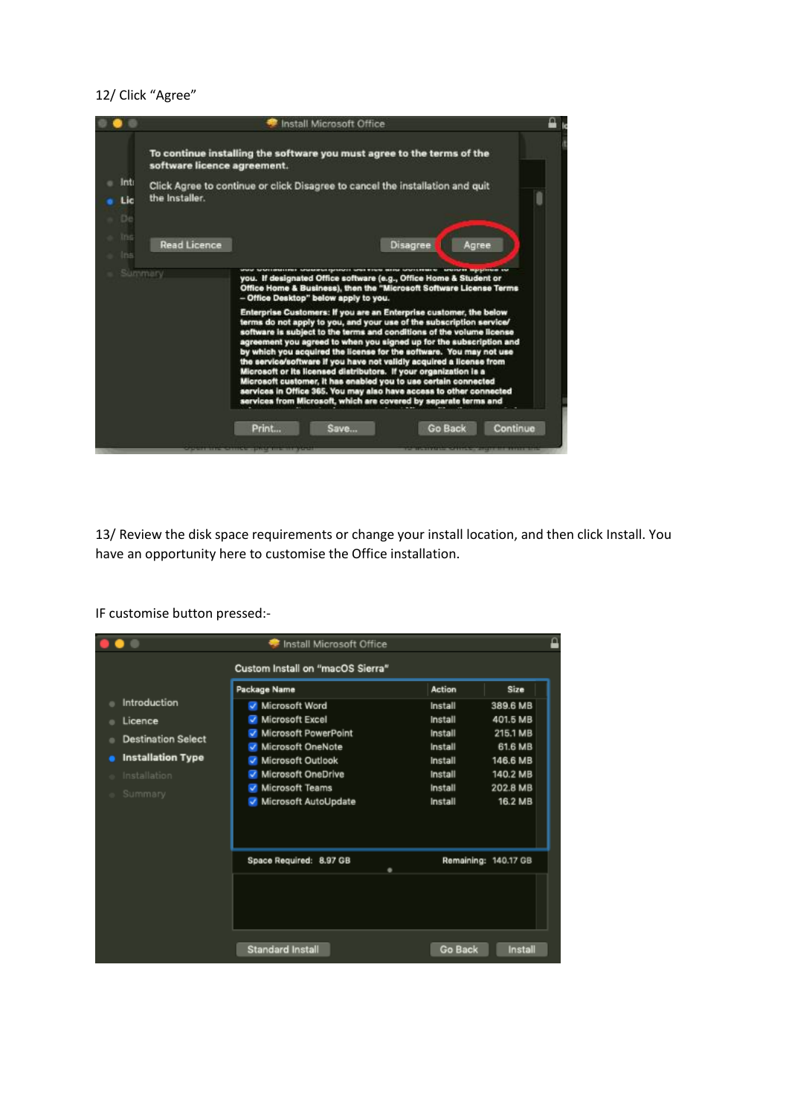#### 12/ Click "Agree"



13/ Review the disk space requirements or change your install location, and then click Install. You have an opportunity here to customise the Office installation.

Install Microsoft Office  $\bullet$  . ₽ Custom Install on "macOS Sierra" Package Name Action Size **Introduction** Microsoft Word Install 389.6 MB Microsoft Excel Install 401.5 MB Licence Microsoft PowerPoint Install 215.1 MB **Destination Select** Microsoft OneNote Install 61.6 MB **e** Installation Type Microsoft Outlook 146.6 MB Install Microsoft OneDrive Install 140.2 MB Microsoft Teams Install 202.8 MB Microsoft AutoUpdate Install 16.2 MB Space Required: 8.97 GB Remaining: 140.17 GB Standard Install Go Back Install

IF customise button pressed:-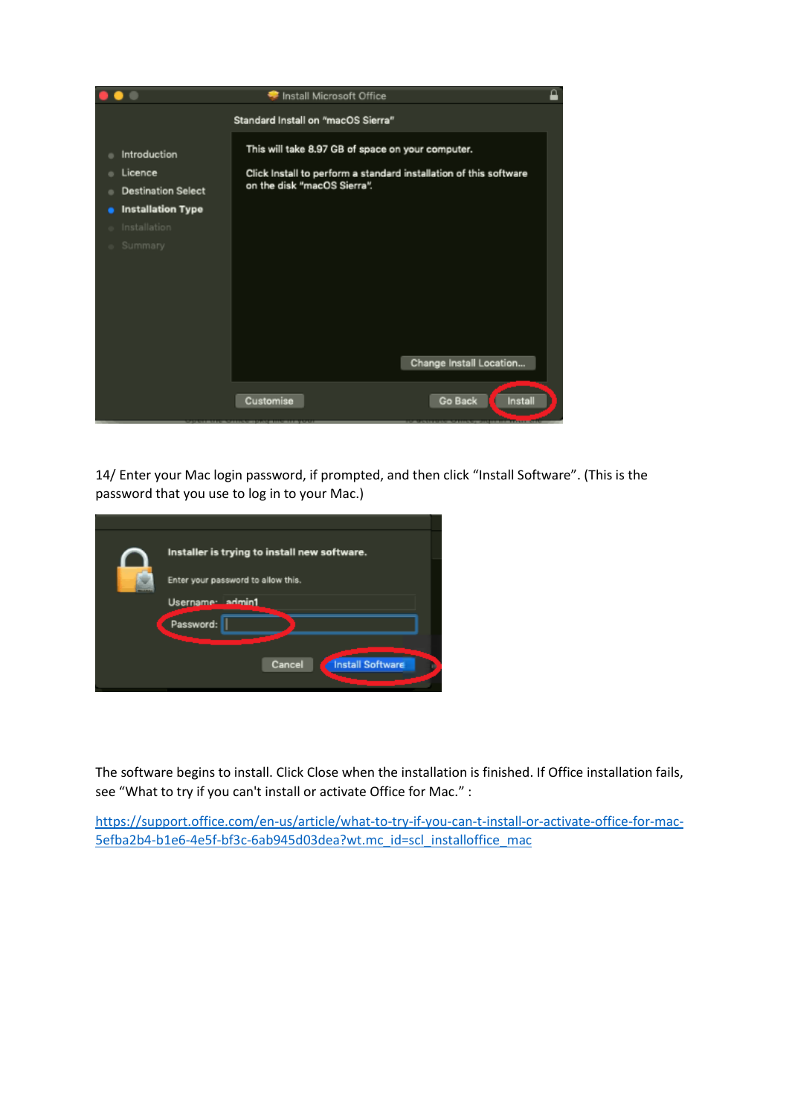

14/ Enter your Mac login password, if prompted, and then click "Install Software". (This is the password that you use to log in to your Mac.)

| Installer is trying to install new software. |  |
|----------------------------------------------|--|
| Enter your password to allow this.           |  |
| Username: admin1                             |  |
| Password:                                    |  |
|                                              |  |
| <b>Install Software</b><br>Cancel            |  |
|                                              |  |

The software begins to install. Click Close when the installation is finished. If Office installation fails, see "What to try if you can't install or activate Office for Mac." :

[https://support.office.com/en-us/article/what-to-try-if-you-can-t-install-or-activate-office-for-mac-](https://support.office.com/en-us/article/what-to-try-if-you-can-t-install-or-activate-office-for-mac-5efba2b4-b1e6-4e5f-bf3c-6ab945d03dea?wt.mc_id=scl_installoffice_mac)[5efba2b4-b1e6-4e5f-bf3c-6ab945d03dea?wt.mc\\_id=scl\\_installoffice\\_mac](https://support.office.com/en-us/article/what-to-try-if-you-can-t-install-or-activate-office-for-mac-5efba2b4-b1e6-4e5f-bf3c-6ab945d03dea?wt.mc_id=scl_installoffice_mac)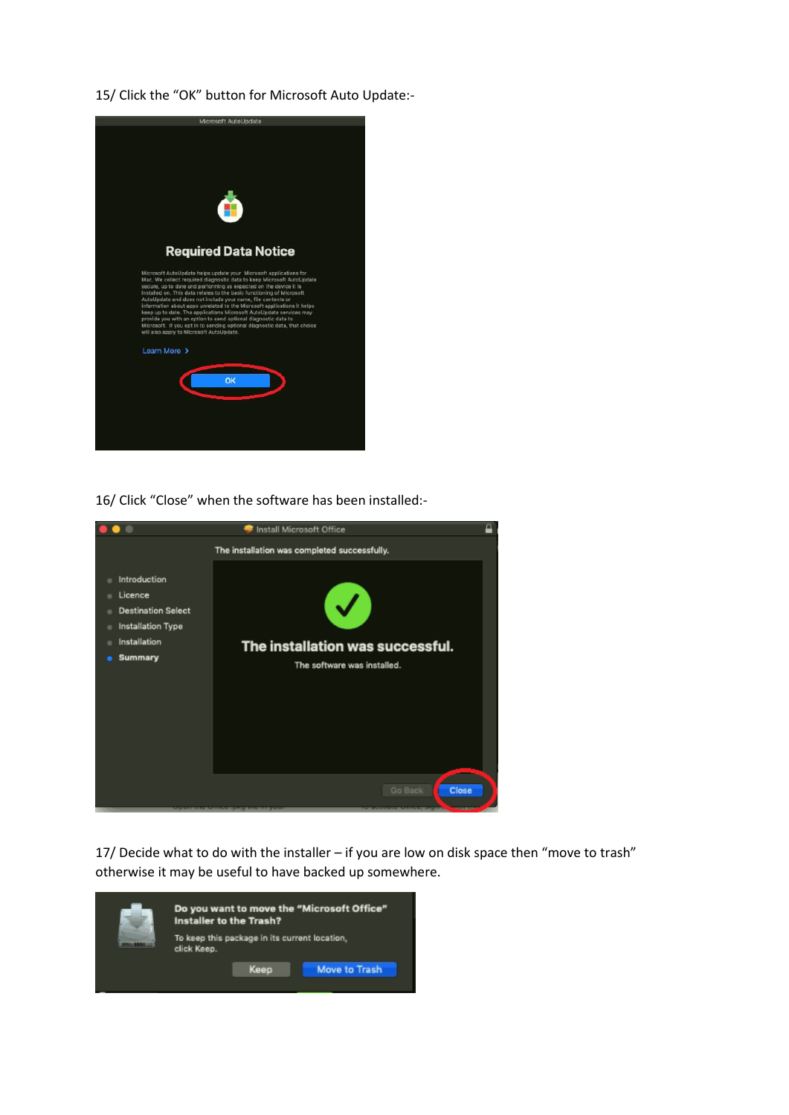15/ Click the "OK" button for Microsoft Auto Update:-



16/ Click "Close" when the software has been installed:-



17/ Decide what to do with the installer – if you are low on disk space then "move to trash" otherwise it may be useful to have backed up somewhere.

| Do you want to move the "Microsoft Office"<br>Installer to the Trash? |      |               |  |  |  |
|-----------------------------------------------------------------------|------|---------------|--|--|--|
| To keep this package in its current location,<br>click Keep.          |      |               |  |  |  |
|                                                                       | Keep | Move to Trash |  |  |  |
|                                                                       |      |               |  |  |  |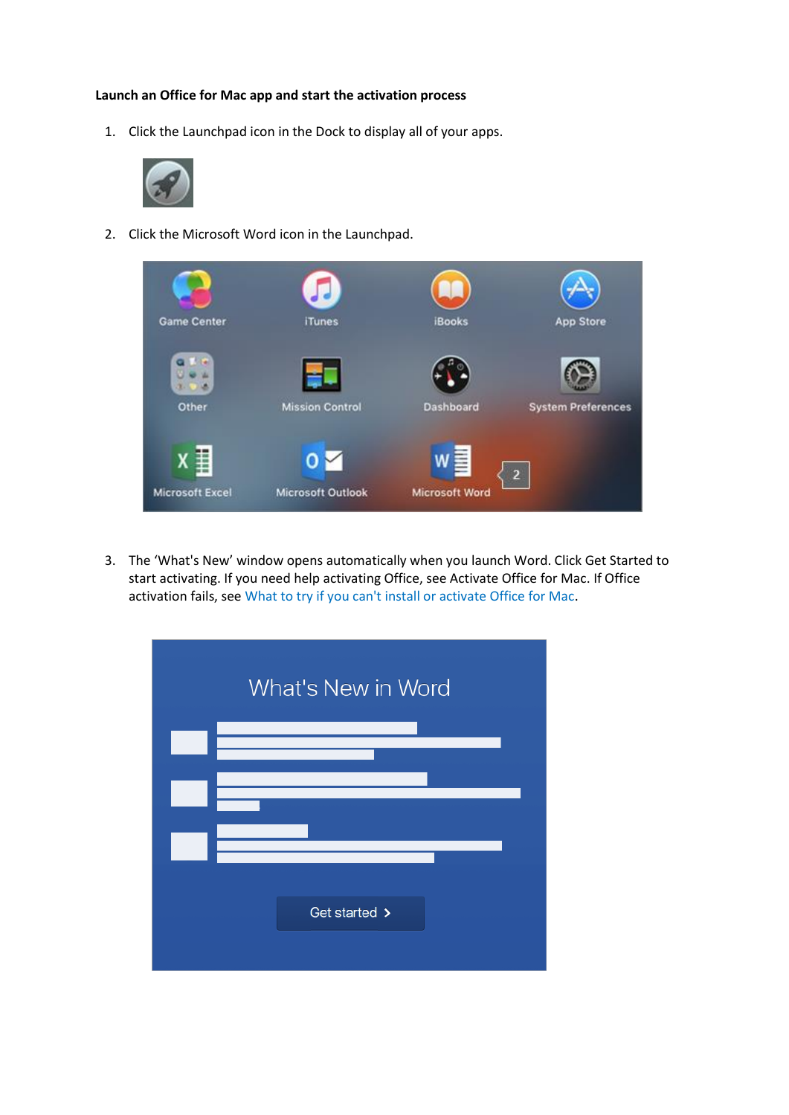#### **Launch an Office for Mac app and start the activation process**

1. Click the Launchpad icon in the Dock to display all of your apps.



2. Click the Microsoft Word icon in the Launchpad.



3. The 'What's New' window opens automatically when you launch Word. Click Get Started to start activating. If you need help activating Office, se[e Activate Office for Mac.](https://support.office.com/en-us/article/activate-office-for-mac-7f6646b1-bb14-422a-9ad4-a53410fcefb2?wt.mc_id=scl_installoffice_mac) If Office activation fails, se[e What to try if you can't install or activate Office for Mac.](https://support.office.com/en-us/article/what-to-try-if-you-can-t-install-or-activate-office-for-mac-5efba2b4-b1e6-4e5f-bf3c-6ab945d03dea?wt.mc_id=scl_installoffice_mac)